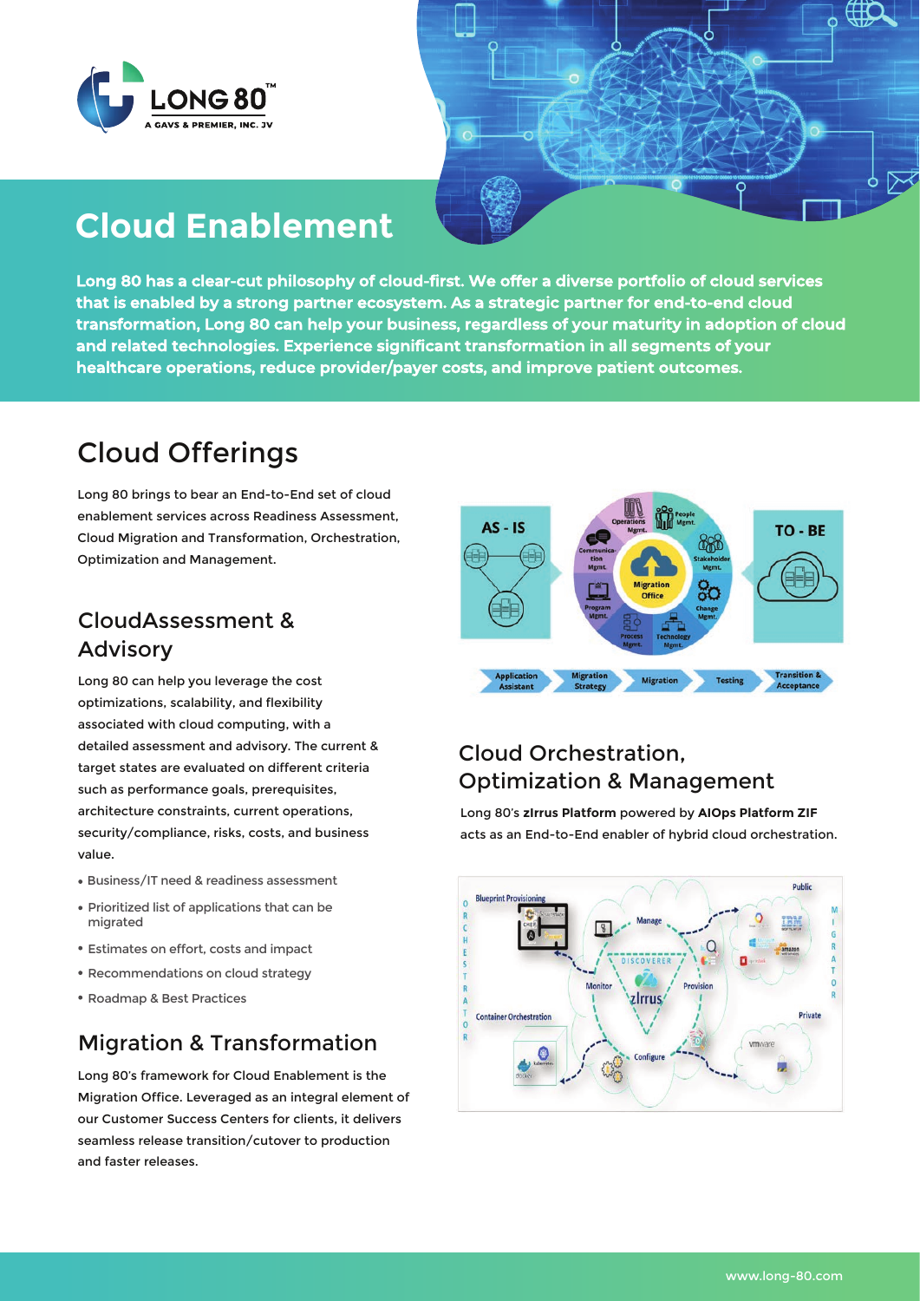



# **Cloud Enablement**

**Long 80 has a clear-cut philosophy of cloud-first. We offer a diverse portfolio of cloud services that is enabled by a strong partner ecosystem. As a strategic partner for end-to-end cloud transformation, Long 80 can help your business, regardless of your maturity in adoption of cloud and related technologies. Experience significant transformation in all segments of your healthcare operations, reduce provider/payer costs, and improve patient outcomes.** 

## Cloud Offerings

Long 80 brings to bear an End-to-End set of cloud enablement services across Readiness Assessment, Cloud Migration and Transformation, Orchestration, Optimization and Management.

#### CloudAssessment & Advisory

Long 80 can help you leverage the cost optimizations, scalability, and flexibility associated with cloud computing, with a detailed assessment and advisory. The current & target states are evaluated on different criteria such as performance goals, prerequisites, architecture constraints, current operations, security/compliance, risks, costs, and business value.

- Business/IT need & readiness assessment
- Prioritized list of applications that can be migrated
- Estimates on effort, costs and impact
- Recommendations on cloud strategy
- Roadmap & Best Practices

### Migration & Transformation

Long 80's framework for Cloud Enablement is the Migration Office. Leveraged as an integral element of our Customer Success Centers for clients, it delivers seamless release transition/cutover to production and faster releases.



#### Cloud Orchestration, Optimization & Management

Long 80's **zIrrus Platform** powered by **AIOps Platform ZIF** acts as an End-to-End enabler of hybrid cloud orchestration.